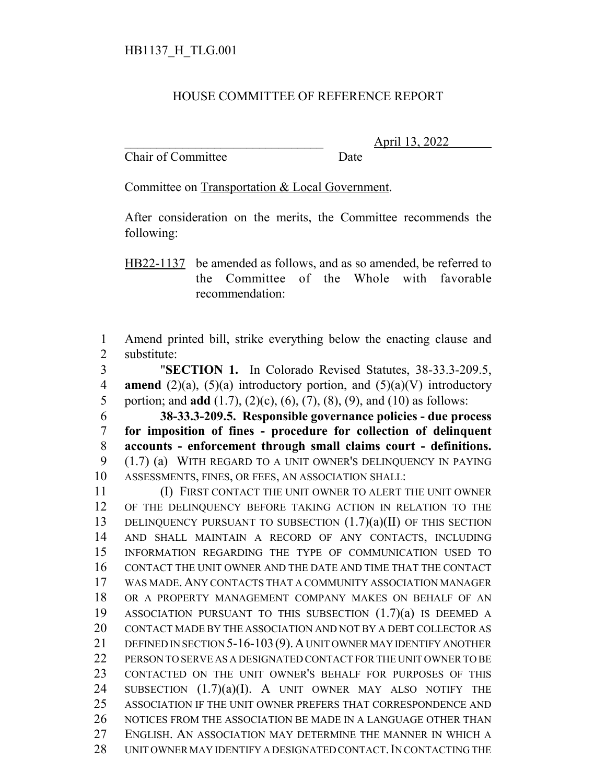## HOUSE COMMITTEE OF REFERENCE REPORT

Chair of Committee Date

\_\_\_\_\_\_\_\_\_\_\_\_\_\_\_\_\_\_\_\_\_\_\_\_\_\_\_\_\_\_\_ April 13, 2022

Committee on Transportation & Local Government.

After consideration on the merits, the Committee recommends the following:

HB22-1137 be amended as follows, and as so amended, be referred to the Committee of the Whole with favorable recommendation:

 Amend printed bill, strike everything below the enacting clause and substitute:

 "**SECTION 1.** In Colorado Revised Statutes, 38-33.3-209.5, **amend** (2)(a), (5)(a) introductory portion, and (5)(a)(V) introductory portion; and **add** (1.7), (2)(c), (6), (7), (8), (9), and (10) as follows:

 **38-33.3-209.5. Responsible governance policies - due process for imposition of fines - procedure for collection of delinquent accounts - enforcement through small claims court - definitions.** (1.7) (a) WITH REGARD TO A UNIT OWNER'S DELINQUENCY IN PAYING ASSESSMENTS, FINES, OR FEES, AN ASSOCIATION SHALL:

 (I) FIRST CONTACT THE UNIT OWNER TO ALERT THE UNIT OWNER OF THE DELINQUENCY BEFORE TAKING ACTION IN RELATION TO THE 13 DELINQUENCY PURSUANT TO SUBSECTION  $(1.7)(a)(II)$  OF THIS SECTION AND SHALL MAINTAIN A RECORD OF ANY CONTACTS, INCLUDING INFORMATION REGARDING THE TYPE OF COMMUNICATION USED TO CONTACT THE UNIT OWNER AND THE DATE AND TIME THAT THE CONTACT WAS MADE. ANY CONTACTS THAT A COMMUNITY ASSOCIATION MANAGER OR A PROPERTY MANAGEMENT COMPANY MAKES ON BEHALF OF AN ASSOCIATION PURSUANT TO THIS SUBSECTION (1.7)(a) IS DEEMED A CONTACT MADE BY THE ASSOCIATION AND NOT BY A DEBT COLLECTOR AS 21 DEFINED IN SECTION 5-16-103 (9). A UNIT OWNER MAY IDENTIFY ANOTHER 22 PERSON TO SERVE AS A DESIGNATED CONTACT FOR THE UNIT OWNER TO BE CONTACTED ON THE UNIT OWNER'S BEHALF FOR PURPOSES OF THIS SUBSECTION (1.7)(a)(I). A UNIT OWNER MAY ALSO NOTIFY THE ASSOCIATION IF THE UNIT OWNER PREFERS THAT CORRESPONDENCE AND NOTICES FROM THE ASSOCIATION BE MADE IN A LANGUAGE OTHER THAN ENGLISH. AN ASSOCIATION MAY DETERMINE THE MANNER IN WHICH A UNIT OWNER MAY IDENTIFY A DESIGNATED CONTACT.IN CONTACTING THE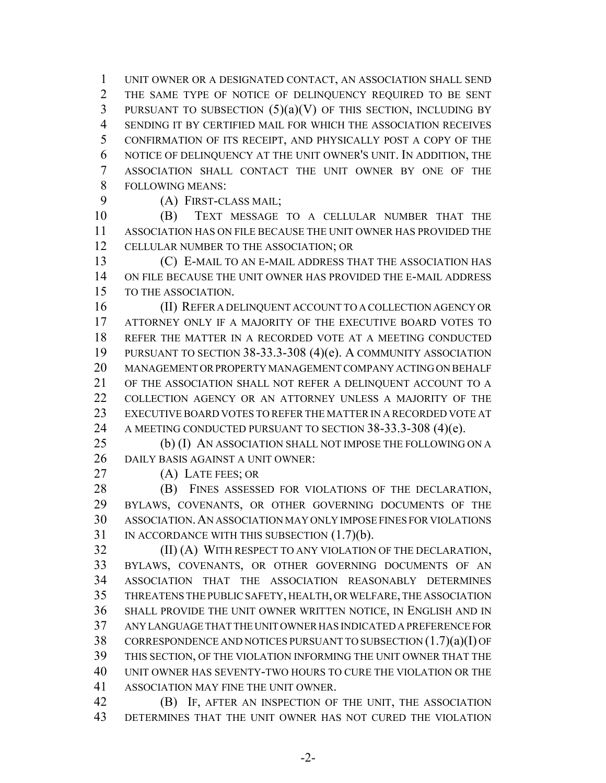UNIT OWNER OR A DESIGNATED CONTACT, AN ASSOCIATION SHALL SEND THE SAME TYPE OF NOTICE OF DELINQUENCY REQUIRED TO BE SENT 3 PURSUANT TO SUBSECTION  $(5)(a)(V)$  OF THIS SECTION, INCLUDING BY SENDING IT BY CERTIFIED MAIL FOR WHICH THE ASSOCIATION RECEIVES CONFIRMATION OF ITS RECEIPT, AND PHYSICALLY POST A COPY OF THE NOTICE OF DELINQUENCY AT THE UNIT OWNER'S UNIT. IN ADDITION, THE ASSOCIATION SHALL CONTACT THE UNIT OWNER BY ONE OF THE FOLLOWING MEANS:

(A) FIRST-CLASS MAIL;

 (B) TEXT MESSAGE TO A CELLULAR NUMBER THAT THE ASSOCIATION HAS ON FILE BECAUSE THE UNIT OWNER HAS PROVIDED THE CELLULAR NUMBER TO THE ASSOCIATION; OR

 (C) E-MAIL TO AN E-MAIL ADDRESS THAT THE ASSOCIATION HAS ON FILE BECAUSE THE UNIT OWNER HAS PROVIDED THE E-MAIL ADDRESS TO THE ASSOCIATION.

 (II) REFER A DELINQUENT ACCOUNT TO A COLLECTION AGENCY OR ATTORNEY ONLY IF A MAJORITY OF THE EXECUTIVE BOARD VOTES TO REFER THE MATTER IN A RECORDED VOTE AT A MEETING CONDUCTED PURSUANT TO SECTION 38-33.3-308 (4)(e). A COMMUNITY ASSOCIATION MANAGEMENT OR PROPERTY MANAGEMENT COMPANY ACTING ON BEHALF OF THE ASSOCIATION SHALL NOT REFER A DELINQUENT ACCOUNT TO A COLLECTION AGENCY OR AN ATTORNEY UNLESS A MAJORITY OF THE EXECUTIVE BOARD VOTES TO REFER THE MATTER IN A RECORDED VOTE AT 24 A MEETING CONDUCTED PURSUANT TO SECTION 38-33.3-308 (4)(e).

 (b) (I) AN ASSOCIATION SHALL NOT IMPOSE THE FOLLOWING ON A 26 DAILY BASIS AGAINST A UNIT OWNER:

(A) LATE FEES; OR

28 (B) FINES ASSESSED FOR VIOLATIONS OF THE DECLARATION, BYLAWS, COVENANTS, OR OTHER GOVERNING DOCUMENTS OF THE ASSOCIATION.AN ASSOCIATION MAY ONLY IMPOSE FINES FOR VIOLATIONS 31 IN ACCORDANCE WITH THIS SUBSECTION  $(1.7)(b)$ .

**(II) (A) WITH RESPECT TO ANY VIOLATION OF THE DECLARATION,**  BYLAWS, COVENANTS, OR OTHER GOVERNING DOCUMENTS OF AN ASSOCIATION THAT THE ASSOCIATION REASONABLY DETERMINES THREATENS THE PUBLIC SAFETY, HEALTH, OR WELFARE, THE ASSOCIATION SHALL PROVIDE THE UNIT OWNER WRITTEN NOTICE, IN ENGLISH AND IN ANY LANGUAGE THAT THE UNIT OWNER HAS INDICATED A PREFERENCE FOR 38 CORRESPONDENCE AND NOTICES PURSUANT TO SUBSECTION  $(1.7)(a)(I)$  OF THIS SECTION, OF THE VIOLATION INFORMING THE UNIT OWNER THAT THE UNIT OWNER HAS SEVENTY-TWO HOURS TO CURE THE VIOLATION OR THE ASSOCIATION MAY FINE THE UNIT OWNER.

 (B) IF, AFTER AN INSPECTION OF THE UNIT, THE ASSOCIATION DETERMINES THAT THE UNIT OWNER HAS NOT CURED THE VIOLATION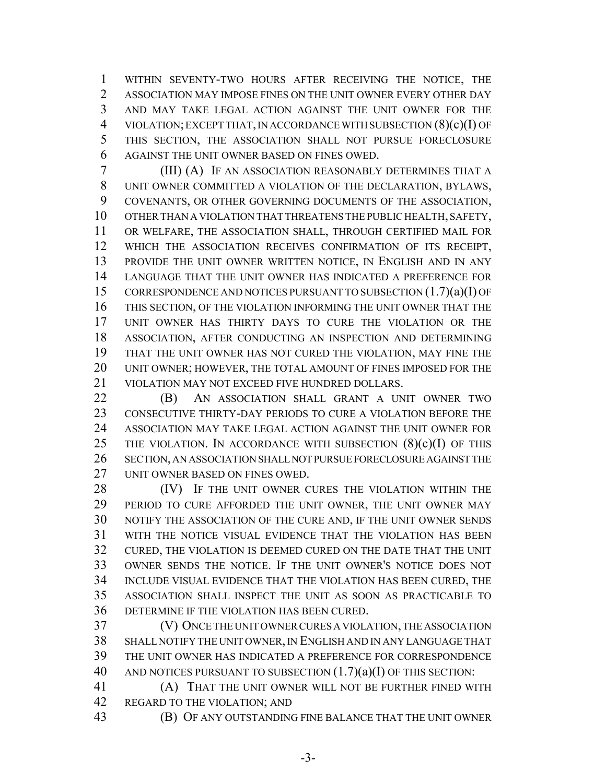WITHIN SEVENTY-TWO HOURS AFTER RECEIVING THE NOTICE, THE ASSOCIATION MAY IMPOSE FINES ON THE UNIT OWNER EVERY OTHER DAY AND MAY TAKE LEGAL ACTION AGAINST THE UNIT OWNER FOR THE VIOLATION; EXCEPT THAT, IN ACCORDANCE WITH SUBSECTION (8)(c)(I) OF THIS SECTION, THE ASSOCIATION SHALL NOT PURSUE FORECLOSURE AGAINST THE UNIT OWNER BASED ON FINES OWED.

 (III) (A) IF AN ASSOCIATION REASONABLY DETERMINES THAT A UNIT OWNER COMMITTED A VIOLATION OF THE DECLARATION, BYLAWS, COVENANTS, OR OTHER GOVERNING DOCUMENTS OF THE ASSOCIATION, OTHER THAN A VIOLATION THAT THREATENS THE PUBLIC HEALTH, SAFETY, OR WELFARE, THE ASSOCIATION SHALL, THROUGH CERTIFIED MAIL FOR WHICH THE ASSOCIATION RECEIVES CONFIRMATION OF ITS RECEIPT, PROVIDE THE UNIT OWNER WRITTEN NOTICE, IN ENGLISH AND IN ANY LANGUAGE THAT THE UNIT OWNER HAS INDICATED A PREFERENCE FOR CORRESPONDENCE AND NOTICES PURSUANT TO SUBSECTION (1.7)(a)(I) OF THIS SECTION, OF THE VIOLATION INFORMING THE UNIT OWNER THAT THE UNIT OWNER HAS THIRTY DAYS TO CURE THE VIOLATION OR THE ASSOCIATION, AFTER CONDUCTING AN INSPECTION AND DETERMINING THAT THE UNIT OWNER HAS NOT CURED THE VIOLATION, MAY FINE THE UNIT OWNER; HOWEVER, THE TOTAL AMOUNT OF FINES IMPOSED FOR THE VIOLATION MAY NOT EXCEED FIVE HUNDRED DOLLARS.

 (B) AN ASSOCIATION SHALL GRANT A UNIT OWNER TWO CONSECUTIVE THIRTY-DAY PERIODS TO CURE A VIOLATION BEFORE THE ASSOCIATION MAY TAKE LEGAL ACTION AGAINST THE UNIT OWNER FOR 25 THE VIOLATION. IN ACCORDANCE WITH SUBSECTION  $(8)(c)(I)$  OF THIS SECTION, AN ASSOCIATION SHALL NOT PURSUE FORECLOSURE AGAINST THE UNIT OWNER BASED ON FINES OWED.

28 (IV) IF THE UNIT OWNER CURES THE VIOLATION WITHIN THE 29 PERIOD TO CURE AFFORDED THE UNIT OWNER, THE UNIT OWNER MAY NOTIFY THE ASSOCIATION OF THE CURE AND, IF THE UNIT OWNER SENDS WITH THE NOTICE VISUAL EVIDENCE THAT THE VIOLATION HAS BEEN CURED, THE VIOLATION IS DEEMED CURED ON THE DATE THAT THE UNIT OWNER SENDS THE NOTICE. IF THE UNIT OWNER'S NOTICE DOES NOT INCLUDE VISUAL EVIDENCE THAT THE VIOLATION HAS BEEN CURED, THE ASSOCIATION SHALL INSPECT THE UNIT AS SOON AS PRACTICABLE TO DETERMINE IF THE VIOLATION HAS BEEN CURED.

 (V) ONCE THE UNIT OWNER CURES A VIOLATION, THE ASSOCIATION SHALL NOTIFY THE UNIT OWNER, IN ENGLISH AND IN ANY LANGUAGE THAT THE UNIT OWNER HAS INDICATED A PREFERENCE FOR CORRESPONDENCE AND NOTICES PURSUANT TO SUBSECTION (1.7)(a)(I) OF THIS SECTION:

 (A) THAT THE UNIT OWNER WILL NOT BE FURTHER FINED WITH REGARD TO THE VIOLATION; AND

- 
- (B) OF ANY OUTSTANDING FINE BALANCE THAT THE UNIT OWNER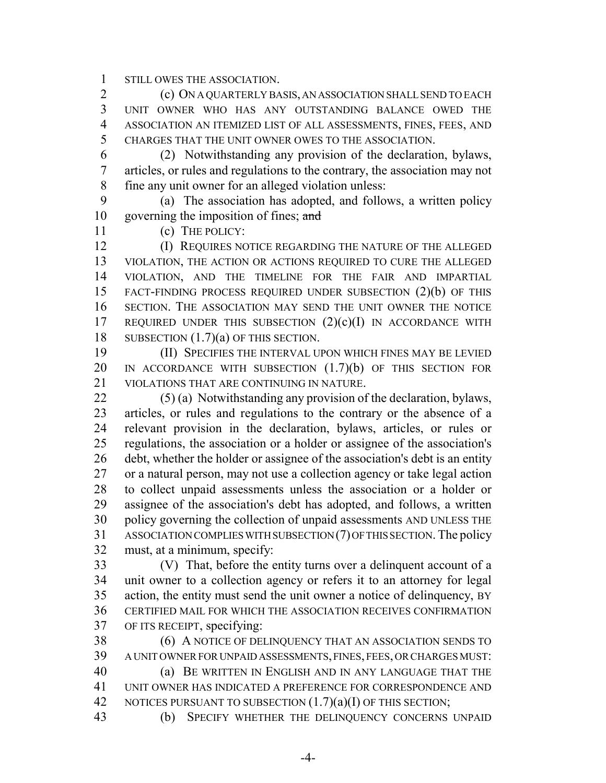STILL OWES THE ASSOCIATION.

 (c) ON A QUARTERLY BASIS, AN ASSOCIATION SHALL SEND TO EACH UNIT OWNER WHO HAS ANY OUTSTANDING BALANCE OWED THE ASSOCIATION AN ITEMIZED LIST OF ALL ASSESSMENTS, FINES, FEES, AND CHARGES THAT THE UNIT OWNER OWES TO THE ASSOCIATION.

 (2) Notwithstanding any provision of the declaration, bylaws, articles, or rules and regulations to the contrary, the association may not fine any unit owner for an alleged violation unless:

 (a) The association has adopted, and follows, a written policy 10 governing the imposition of fines; and

(c) THE POLICY:

**(I) REQUIRES NOTICE REGARDING THE NATURE OF THE ALLEGED**  VIOLATION, THE ACTION OR ACTIONS REQUIRED TO CURE THE ALLEGED VIOLATION, AND THE TIMELINE FOR THE FAIR AND IMPARTIAL FACT-FINDING PROCESS REQUIRED UNDER SUBSECTION (2)(b) OF THIS SECTION. THE ASSOCIATION MAY SEND THE UNIT OWNER THE NOTICE 17 REQUIRED UNDER THIS SUBSECTION  $(2)(c)(I)$  IN ACCORDANCE WITH 18 SUBSECTION  $(1.7)(a)$  OF THIS SECTION.

 (II) SPECIFIES THE INTERVAL UPON WHICH FINES MAY BE LEVIED 20 IN ACCORDANCE WITH SUBSECTION  $(1.7)(b)$  of this section for VIOLATIONS THAT ARE CONTINUING IN NATURE.

 (5) (a) Notwithstanding any provision of the declaration, bylaws, articles, or rules and regulations to the contrary or the absence of a relevant provision in the declaration, bylaws, articles, or rules or regulations, the association or a holder or assignee of the association's debt, whether the holder or assignee of the association's debt is an entity or a natural person, may not use a collection agency or take legal action to collect unpaid assessments unless the association or a holder or assignee of the association's debt has adopted, and follows, a written policy governing the collection of unpaid assessments AND UNLESS THE ASSOCIATION COMPLIES WITH SUBSECTION (7) OF THIS SECTION. The policy must, at a minimum, specify:

 (V) That, before the entity turns over a delinquent account of a unit owner to a collection agency or refers it to an attorney for legal action, the entity must send the unit owner a notice of delinquency, BY CERTIFIED MAIL FOR WHICH THE ASSOCIATION RECEIVES CONFIRMATION OF ITS RECEIPT, specifying:

 (6) A NOTICE OF DELINQUENCY THAT AN ASSOCIATION SENDS TO A UNIT OWNER FOR UNPAID ASSESSMENTS, FINES, FEES, OR CHARGES MUST: (a) BE WRITTEN IN ENGLISH AND IN ANY LANGUAGE THAT THE UNIT OWNER HAS INDICATED A PREFERENCE FOR CORRESPONDENCE AND 42 NOTICES PURSUANT TO SUBSECTION  $(1.7)(a)(I)$  OF THIS SECTION;

(b) SPECIFY WHETHER THE DELINQUENCY CONCERNS UNPAID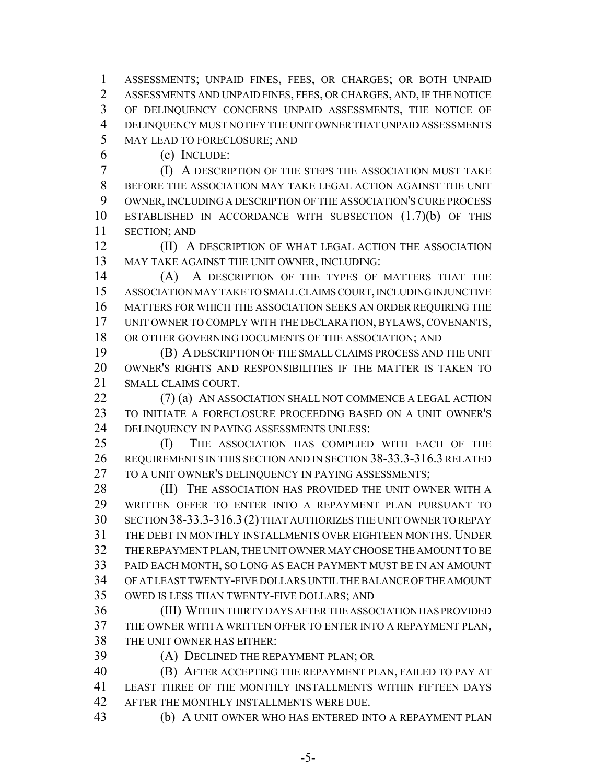ASSESSMENTS; UNPAID FINES, FEES, OR CHARGES; OR BOTH UNPAID ASSESSMENTS AND UNPAID FINES, FEES, OR CHARGES, AND, IF THE NOTICE OF DELINQUENCY CONCERNS UNPAID ASSESSMENTS, THE NOTICE OF DELINQUENCY MUST NOTIFY THE UNIT OWNER THAT UNPAID ASSESSMENTS MAY LEAD TO FORECLOSURE; AND

(c) INCLUDE:

 (I) A DESCRIPTION OF THE STEPS THE ASSOCIATION MUST TAKE BEFORE THE ASSOCIATION MAY TAKE LEGAL ACTION AGAINST THE UNIT OWNER, INCLUDING A DESCRIPTION OF THE ASSOCIATION'S CURE PROCESS ESTABLISHED IN ACCORDANCE WITH SUBSECTION (1.7)(b) OF THIS SECTION; AND

**(II)** A DESCRIPTION OF WHAT LEGAL ACTION THE ASSOCIATION MAY TAKE AGAINST THE UNIT OWNER, INCLUDING:

 (A) A DESCRIPTION OF THE TYPES OF MATTERS THAT THE ASSOCIATION MAY TAKE TO SMALL CLAIMS COURT, INCLUDING INJUNCTIVE MATTERS FOR WHICH THE ASSOCIATION SEEKS AN ORDER REQUIRING THE UNIT OWNER TO COMPLY WITH THE DECLARATION, BYLAWS, COVENANTS, 18 OR OTHER GOVERNING DOCUMENTS OF THE ASSOCIATION; AND

 (B) A DESCRIPTION OF THE SMALL CLAIMS PROCESS AND THE UNIT OWNER'S RIGHTS AND RESPONSIBILITIES IF THE MATTER IS TAKEN TO SMALL CLAIMS COURT.

22 (7) (a) AN ASSOCIATION SHALL NOT COMMENCE A LEGAL ACTION TO INITIATE A FORECLOSURE PROCEEDING BASED ON A UNIT OWNER'S DELINQUENCY IN PAYING ASSESSMENTS UNLESS:

 (I) THE ASSOCIATION HAS COMPLIED WITH EACH OF THE REQUIREMENTS IN THIS SECTION AND IN SECTION 38-33.3-316.3 RELATED 27 TO A UNIT OWNER'S DELINOUENCY IN PAYING ASSESSMENTS:

**(II)** THE ASSOCIATION HAS PROVIDED THE UNIT OWNER WITH A WRITTEN OFFER TO ENTER INTO A REPAYMENT PLAN PURSUANT TO SECTION 38-33.3-316.3 (2) THAT AUTHORIZES THE UNIT OWNER TO REPAY THE DEBT IN MONTHLY INSTALLMENTS OVER EIGHTEEN MONTHS. UNDER THE REPAYMENT PLAN, THE UNIT OWNER MAY CHOOSE THE AMOUNT TO BE PAID EACH MONTH, SO LONG AS EACH PAYMENT MUST BE IN AN AMOUNT OF AT LEAST TWENTY-FIVE DOLLARS UNTIL THE BALANCE OF THE AMOUNT OWED IS LESS THAN TWENTY-FIVE DOLLARS; AND

 (III) WITHIN THIRTY DAYS AFTER THE ASSOCIATION HAS PROVIDED THE OWNER WITH A WRITTEN OFFER TO ENTER INTO A REPAYMENT PLAN, THE UNIT OWNER HAS EITHER:

(A) DECLINED THE REPAYMENT PLAN; OR

 (B) AFTER ACCEPTING THE REPAYMENT PLAN, FAILED TO PAY AT LEAST THREE OF THE MONTHLY INSTALLMENTS WITHIN FIFTEEN DAYS AFTER THE MONTHLY INSTALLMENTS WERE DUE.

(b) A UNIT OWNER WHO HAS ENTERED INTO A REPAYMENT PLAN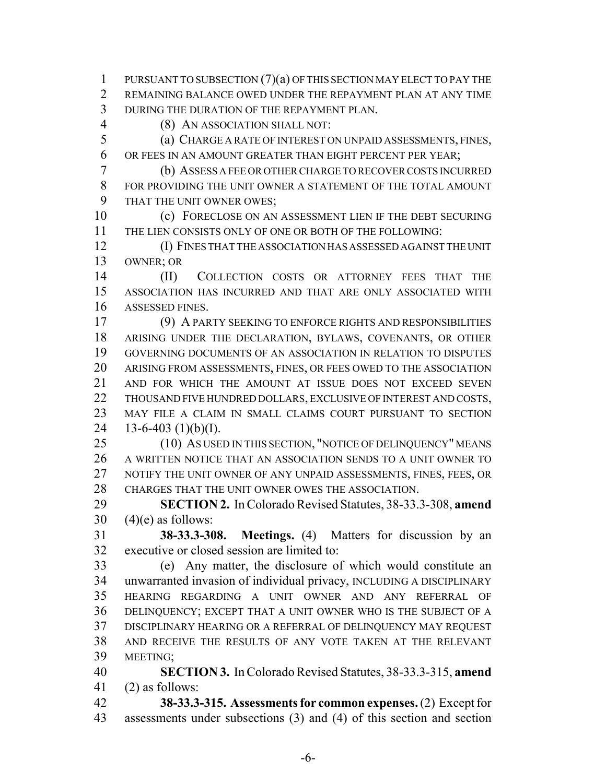PURSUANT TO SUBSECTION (7)(a) OF THIS SECTION MAY ELECT TO PAY THE REMAINING BALANCE OWED UNDER THE REPAYMENT PLAN AT ANY TIME DURING THE DURATION OF THE REPAYMENT PLAN.

(8) AN ASSOCIATION SHALL NOT:

 (a) CHARGE A RATE OF INTEREST ON UNPAID ASSESSMENTS, FINES, OR FEES IN AN AMOUNT GREATER THAN EIGHT PERCENT PER YEAR;

 (b) ASSESS A FEE OR OTHER CHARGE TO RECOVER COSTS INCURRED FOR PROVIDING THE UNIT OWNER A STATEMENT OF THE TOTAL AMOUNT THAT THE UNIT OWNER OWES;

 (c) FORECLOSE ON AN ASSESSMENT LIEN IF THE DEBT SECURING THE LIEN CONSISTS ONLY OF ONE OR BOTH OF THE FOLLOWING:

 (I) FINES THAT THE ASSOCIATION HAS ASSESSED AGAINST THE UNIT OWNER; OR

 (II) COLLECTION COSTS OR ATTORNEY FEES THAT THE ASSOCIATION HAS INCURRED AND THAT ARE ONLY ASSOCIATED WITH ASSESSED FINES.

 (9) A PARTY SEEKING TO ENFORCE RIGHTS AND RESPONSIBILITIES ARISING UNDER THE DECLARATION, BYLAWS, COVENANTS, OR OTHER GOVERNING DOCUMENTS OF AN ASSOCIATION IN RELATION TO DISPUTES ARISING FROM ASSESSMENTS, FINES, OR FEES OWED TO THE ASSOCIATION AND FOR WHICH THE AMOUNT AT ISSUE DOES NOT EXCEED SEVEN 22 THOUSAND FIVE HUNDRED DOLLARS, EXCLUSIVE OF INTEREST AND COSTS, MAY FILE A CLAIM IN SMALL CLAIMS COURT PURSUANT TO SECTION  $13-6-403$  (1)(b)(I).

 (10) AS USED IN THIS SECTION, "NOTICE OF DELINQUENCY" MEANS A WRITTEN NOTICE THAT AN ASSOCIATION SENDS TO A UNIT OWNER TO NOTIFY THE UNIT OWNER OF ANY UNPAID ASSESSMENTS, FINES, FEES, OR CHARGES THAT THE UNIT OWNER OWES THE ASSOCIATION.

 **SECTION 2.** In Colorado Revised Statutes, 38-33.3-308, **amend**  $30 \quad (4)$ (e) as follows:

 **38-33.3-308. Meetings.** (4) Matters for discussion by an executive or closed session are limited to:

 (e) Any matter, the disclosure of which would constitute an unwarranted invasion of individual privacy, INCLUDING A DISCIPLINARY HEARING REGARDING A UNIT OWNER AND ANY REFERRAL OF DELINQUENCY; EXCEPT THAT A UNIT OWNER WHO IS THE SUBJECT OF A DISCIPLINARY HEARING OR A REFERRAL OF DELINQUENCY MAY REQUEST AND RECEIVE THE RESULTS OF ANY VOTE TAKEN AT THE RELEVANT MEETING;

 **SECTION 3.** In Colorado Revised Statutes, 38-33.3-315, **amend** (2) as follows:

 **38-33.3-315. Assessments for common expenses.** (2) Except for assessments under subsections (3) and (4) of this section and section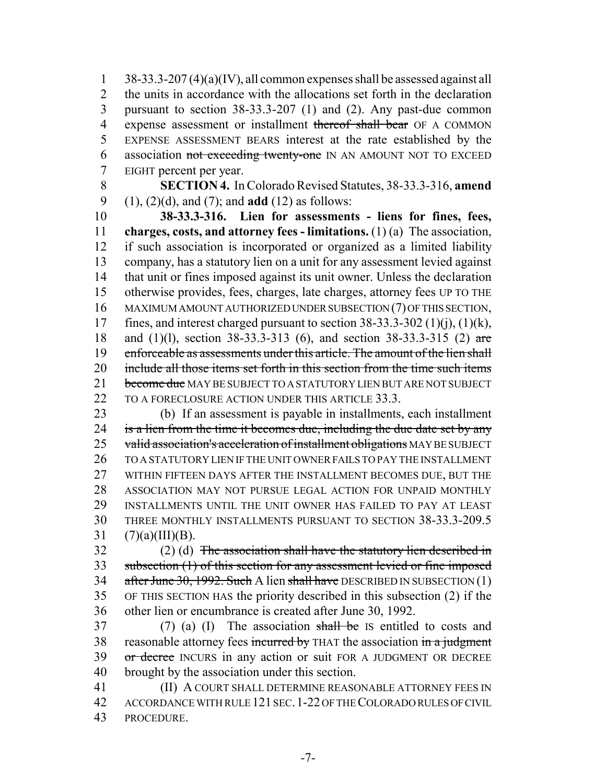38-33.3-207 (4)(a)(IV), all common expenses shall be assessed against all the units in accordance with the allocations set forth in the declaration pursuant to section 38-33.3-207 (1) and (2). Any past-due common 4 expense assessment or installment thereof shall bear OF A COMMON EXPENSE ASSESSMENT BEARS interest at the rate established by the 6 association not exceeding twenty-one IN AN AMOUNT NOT TO EXCEED EIGHT percent per year.

 **SECTION 4.** In Colorado Revised Statutes, 38-33.3-316, **amend** (1), (2)(d), and (7); and **add** (12) as follows:

 **38-33.3-316. Lien for assessments - liens for fines, fees, charges, costs, and attorney fees - limitations.** (1) (a) The association, if such association is incorporated or organized as a limited liability company, has a statutory lien on a unit for any assessment levied against that unit or fines imposed against its unit owner. Unless the declaration otherwise provides, fees, charges, late charges, attorney fees UP TO THE MAXIMUM AMOUNT AUTHORIZED UNDER SUBSECTION (7) OF THIS SECTION, 17 fines, and interest charged pursuant to section  $38-33.3-302$  (1)(i), (1)(k), and (1)(l), section 38-33.3-313 (6), and section 38-33.3-315 (2) are 19 enforceable as assessments under this article. The amount of the lien shall 20 include all those items set forth in this section from the time such items 21 become due MAY BE SUBJECT TO A STATUTORY LIEN BUT ARE NOT SUBJECT 22 TO A FORECLOSURE ACTION UNDER THIS ARTICLE 33.3.

 (b) If an assessment is payable in installments, each installment 24 is a lien from the time it becomes due, including the due date set by any 25 valid association's acceleration of installment obligations MAY BE SUBJECT TO A STATUTORY LIEN IF THE UNIT OWNER FAILS TO PAY THE INSTALLMENT WITHIN FIFTEEN DAYS AFTER THE INSTALLMENT BECOMES DUE, BUT THE ASSOCIATION MAY NOT PURSUE LEGAL ACTION FOR UNPAID MONTHLY INSTALLMENTS UNTIL THE UNIT OWNER HAS FAILED TO PAY AT LEAST THREE MONTHLY INSTALLMENTS PURSUANT TO SECTION 38-33.3-209.5  $(7)(a)(III)(B)$ .

 (2) (d) The association shall have the statutory lien described in subsection (1) of this section for any assessment levied or fine imposed  $\pi$  after June 30, 1992. Such A lien shall have DESCRIBED IN SUBSECTION (1) OF THIS SECTION HAS the priority described in this subsection (2) if the other lien or encumbrance is created after June 30, 1992.

 (7) (a) (I) The association shall be IS entitled to costs and 38 reasonable attorney fees incurred by THAT the association in a judgment 39 or decree INCURS in any action or suit FOR A JUDGMENT OR DECREE brought by the association under this section.

 (II) A COURT SHALL DETERMINE REASONABLE ATTORNEY FEES IN ACCORDANCE WITH RULE 121 SEC.1-22 OF THE COLORADO RULES OF CIVIL PROCEDURE.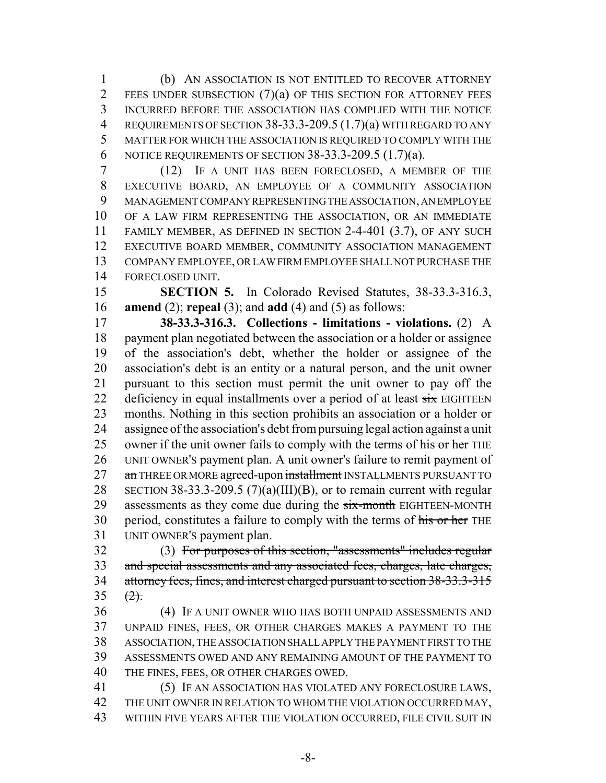(b) AN ASSOCIATION IS NOT ENTITLED TO RECOVER ATTORNEY 2 FEES UNDER SUBSECTION  $(7)(a)$  of this section for attorney fees INCURRED BEFORE THE ASSOCIATION HAS COMPLIED WITH THE NOTICE REQUIREMENTS OF SECTION 38-33.3-209.5 (1.7)(a) WITH REGARD TO ANY MATTER FOR WHICH THE ASSOCIATION IS REQUIRED TO COMPLY WITH THE NOTICE REQUIREMENTS OF SECTION 38-33.3-209.5 (1.7)(a).

 (12) IF A UNIT HAS BEEN FORECLOSED, A MEMBER OF THE EXECUTIVE BOARD, AN EMPLOYEE OF A COMMUNITY ASSOCIATION MANAGEMENT COMPANY REPRESENTING THE ASSOCIATION, AN EMPLOYEE OF A LAW FIRM REPRESENTING THE ASSOCIATION, OR AN IMMEDIATE FAMILY MEMBER, AS DEFINED IN SECTION 2-4-401 (3.7), OF ANY SUCH EXECUTIVE BOARD MEMBER, COMMUNITY ASSOCIATION MANAGEMENT COMPANY EMPLOYEE, OR LAW FIRM EMPLOYEE SHALL NOT PURCHASE THE FORECLOSED UNIT.

 **SECTION 5.** In Colorado Revised Statutes, 38-33.3-316.3, **amend** (2); **repeal** (3); and **add** (4) and (5) as follows:

 **38-33.3-316.3. Collections - limitations - violations.** (2) A payment plan negotiated between the association or a holder or assignee of the association's debt, whether the holder or assignee of the association's debt is an entity or a natural person, and the unit owner pursuant to this section must permit the unit owner to pay off the 22 deficiency in equal installments over a period of at least six EIGHTEEN months. Nothing in this section prohibits an association or a holder or assignee of the association's debt from pursuing legal action against a unit 25 owner if the unit owner fails to comply with the terms of his or her THE UNIT OWNER'S payment plan. A unit owner's failure to remit payment of 27 an THREE OR MORE agreed-upon installment INSTALLMENTS PURSUANT TO 28 SECTION 38-33.3-209.5 (7)(a)(III)(B), or to remain current with regular 29 assessments as they come due during the six-month EIGHTEEN-MONTH 30 period, constitutes a failure to comply with the terms of his or her THE UNIT OWNER'S payment plan.

 (3) For purposes of this section, "assessments" includes regular and special assessments and any associated fees, charges, late charges, 34 attorney fees, fines, and interest charged pursuant to section 38-33.3-315 35  $(2)$ .

 (4) IF A UNIT OWNER WHO HAS BOTH UNPAID ASSESSMENTS AND UNPAID FINES, FEES, OR OTHER CHARGES MAKES A PAYMENT TO THE ASSOCIATION, THE ASSOCIATION SHALL APPLY THE PAYMENT FIRST TO THE ASSESSMENTS OWED AND ANY REMAINING AMOUNT OF THE PAYMENT TO THE FINES, FEES, OR OTHER CHARGES OWED.

 (5) IF AN ASSOCIATION HAS VIOLATED ANY FORECLOSURE LAWS, 42 THE UNIT OWNER IN RELATION TO WHOM THE VIOLATION OCCURRED MAY, WITHIN FIVE YEARS AFTER THE VIOLATION OCCURRED, FILE CIVIL SUIT IN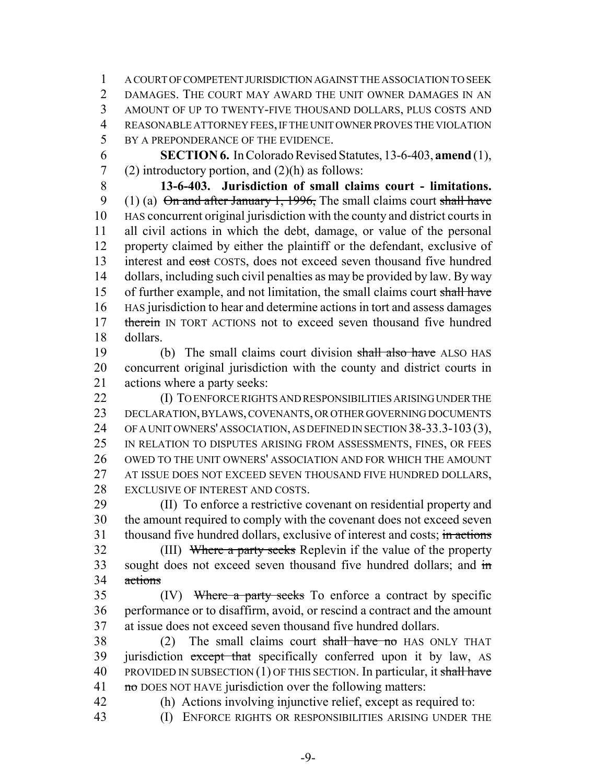A COURT OF COMPETENT JURISDICTION AGAINST THE ASSOCIATION TO SEEK DAMAGES. THE COURT MAY AWARD THE UNIT OWNER DAMAGES IN AN AMOUNT OF UP TO TWENTY-FIVE THOUSAND DOLLARS, PLUS COSTS AND REASONABLE ATTORNEY FEES, IF THE UNIT OWNER PROVES THE VIOLATION 5 BY A PREPONDERANCE OF THE EVIDENCE.

6 **SECTION 6.** In Colorado Revised Statutes, 13-6-403, **amend** (1), 7 (2) introductory portion, and  $(2)(h)$  as follows:

8 **13-6-403. Jurisdiction of small claims court - limitations.** 9 (1) (a)  $\Theta$  and after January 1, 1996, The small claims court shall have 10 HAS concurrent original jurisdiction with the county and district courts in 11 all civil actions in which the debt, damage, or value of the personal 12 property claimed by either the plaintiff or the defendant, exclusive of 13 interest and cost COSTS, does not exceed seven thousand five hundred 14 dollars, including such civil penalties as may be provided by law. By way 15 of further example, and not limitation, the small claims court shall have 16 HAS jurisdiction to hear and determine actions in tort and assess damages 17 therein IN TORT ACTIONS not to exceed seven thousand five hundred 18 dollars.

19 (b) The small claims court division shall also have ALSO HAS 20 concurrent original jurisdiction with the county and district courts in 21 actions where a party seeks:

22 **(I) TO ENFORCE RIGHTS AND RESPONSIBILITIES ARISING UNDER THE** 23 DECLARATION, BYLAWS, COVENANTS, OR OTHER GOVERNING DOCUMENTS 24 OF A UNIT OWNERS' ASSOCIATION, AS DEFINED IN SECTION 38-33.3-103(3), 25 IN RELATION TO DISPUTES ARISING FROM ASSESSMENTS, FINES, OR FEES 26 OWED TO THE UNIT OWNERS' ASSOCIATION AND FOR WHICH THE AMOUNT 27 AT ISSUE DOES NOT EXCEED SEVEN THOUSAND FIVE HUNDRED DOLLARS, 28 EXCLUSIVE OF INTEREST AND COSTS.

29 (II) To enforce a restrictive covenant on residential property and 30 the amount required to comply with the covenant does not exceed seven 31 thousand five hundred dollars, exclusive of interest and costs; in actions

32 (III) Where a party seeks Replevin if the value of the property 33 sought does not exceed seven thousand five hundred dollars; and  $\frac{1}{2}$ 34 actions

35 (IV) Where a party seeks To enforce a contract by specific 36 performance or to disaffirm, avoid, or rescind a contract and the amount 37 at issue does not exceed seven thousand five hundred dollars.

 $38$  (2) The small claims court shall have no HAS ONLY THAT 39 jurisdiction except that specifically conferred upon it by law, AS 40 PROVIDED IN SUBSECTION  $(1)$  OF THIS SECTION. In particular, it shall have 41  $\pi$  no DOES NOT HAVE jurisdiction over the following matters:

42 (h) Actions involving injunctive relief, except as required to:

43 (I) ENFORCE RIGHTS OR RESPONSIBILITIES ARISING UNDER THE